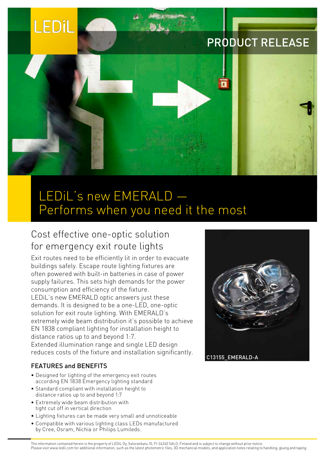# FDil

# PRODUCT RELEASE



# LEDiL's new EMERALD — Performs when you need it the most

### Cost effective one-optic solution for emergency exit route lights

Exit routes need to be efficiently lit in order to evacuate buildings safely. Escape route lighting fixtures are often powered with built-in batteries in case of power supply failures. This sets high demands for the power consumption and efficiency of the fixture. LEDiL's new EMERALD optic answers just these demands. It is designed to be a one-LED, one-optic solution for exit route lighting. With EMERALD's extremely wide beam distribution it's possible to achieve EN 1838 compliant lighting for installation height to distance ratios up to and beyond 1:7. Extended illumination range and single LED design reduces costs of the fixture and installation significantly.

#### FEATURES and BENEFITS

- Designed for lighting of the emergency exit routes according EN 1838 Emergency lighting standard
- • Standard compliant with installation height to distance ratios up to and beyond 1:7
- • Extremely wide beam distribution with tight cut off in vertical direction
- • Lighting fixtures can be made very small and unnoticeable
- • Compatible with various lighting class LEDs manufactured by Cree, Osram, Nichia or Philips Lumileds.



The information contained herein is the property of LEDiL Oy, Salorankatu 10, FI-24240 SALO, Finland and is subject to change without prior notice. Please visit www.ledil.com for additional information, such as the latest photometric files, 3D mechancial models, and application notes relating to handling, gluing and taping.